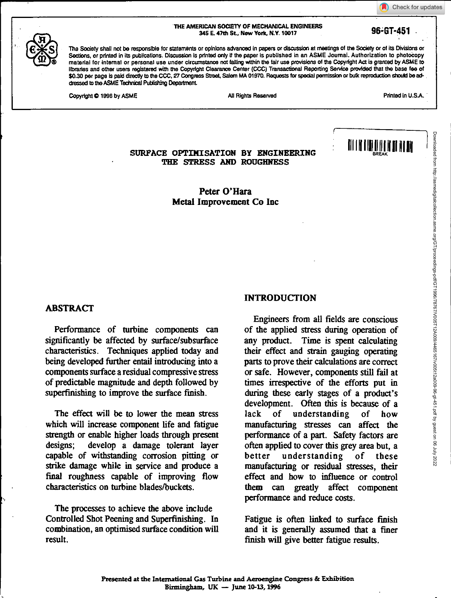Check for updates

#### **THE AMERICAN SOCIETY OF MECHANICAL ENGINEERS 345 E. 471h SL, Now York N.Y. 10017**

The Society shall not be responsible for statements or opinions advanced in papers or discussion at meetings of the Society or of its Divisions or Sections, or printed in its publications. Discussion is printed only if the paper is published in an ASME Journal. Authorization to photocopy material for internal or personal use under circumstance not falling within the fair use provisions of the Copyright Act is granted by ASME to libraries and other users registered with the Copyright Clearance Center (CCC) Transactional Repotting Service provided that the base fee of \$0.30 per page is paid directly to the CCC, 27 Congress Street, Salem MA 01970. Requests for special permission or bulk reproduction should be addressed to the ASME Technical Publishing Department

Copyright © 1996 by ASME All Rights Reserved All Rights Reserved **All Rights Reserved** Printed in U.S.A.

**96;BT-451** 

# **SURFACE OPTIMISATION BY ENGINEERING FOR ALL AND INTERNATIONAL PRESERVATION THE STRESS AND ROUGHNESS**

**Peter O'Hara Metal Improvement Co Inc** 

#### **ABSTRACT**

Performance of turbine components can significantly be affected by surface/subsurface characteristics. Techniques applied today and being developed further entail introducing into a components surface a residual compressive stress of predictable magnitude and depth followed by superfinishing to improve the surface finish.

The effect will be to lower the mean stress which will increase component life and fatigue strength or enable higher loads through present designs; develop a damage tolerant layer capable of withstanding corrosion pitting or strike damage while in service and produce a final roughness capable of improving flow characteristics on turbine blades/buckets.

The processes to achieve the above include Controlled Shot Peening and Superfinishing. In combination, an optimised surface condition will result.

#### **INTRODUCTION**

Engineers from all fields are conscious of the applied stress during operation of any product. Time is spent calculating their effect and strain gauging operating parts to prove their calculations are correct or safe. However, components still fail at times irrespective of the efforts put in during these early stages of a product's development. Often this is because of a lack of understanding of how manufacturing stresses can affect the performance of a part. Safety factors are often applied to cover this grey area but, a better understanding of these manufacturing or residual stresses, their effect and how to influence or control them can greatly affect component performance and reduce costs.

Fatigue is often linked to surface finish and it is generally assumed that a finer finish will give better fatigue results.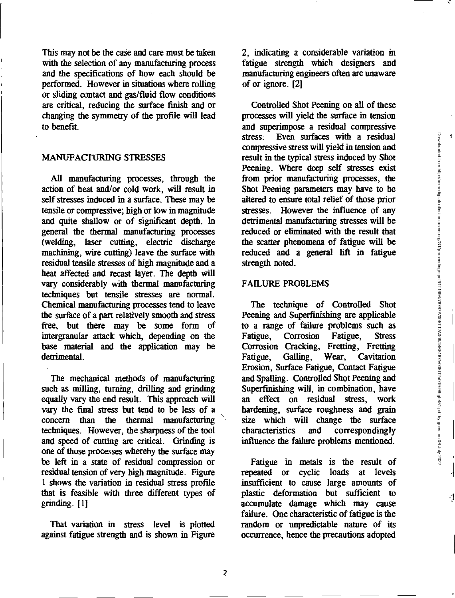$\overline{\mathbf{A}}$ 

This may not be the case and care must be taken with the selection of any manufacturing process and the specifications of how each should be performed. However in situations where rolling or sliding contact and gas/fluid flow conditions are critical, reducing the surface finish and or changing the symmetry of the profile will lead to benefit.

### MANUFACTURING STRESSES

All manufacturing processes, through the action of heat and/or cold work, will result in self stresses induced in a surface. These may be tensile or compressive; high or low in magnitude and quite shallow or of significant depth. In general the thermal manufacturing processes (welding, laser cutting, electric discharge machining, wire cutting) leave the surface with residual tensile stresses of high magnitude and a heat affected and recast layer. The depth will vary considerably with thermal manufacturing techniques but tensile stresses are normal. Chemical manufacturing processes tend to leave the surface of a part relatively smooth and stress free, but there may be some form of intergranular attack which, depending on the base material and the application may be detrimental.

The mechanical methods of manufacturing such as milling, turning, drilling and grinding equally vary the end result. This approach will vary the final stress but tend to be less of a concern than the thermal manufacturing techniques. However, the sharpness of the tool and speed of cutting are critical. Grinding is one of those processes whereby the surface may be left in a state of residual compression or residual tension of very high magnitude. Figure 1 shows the variation in residual stress profile that is feasible with three different types of grinding. [1]

That variation in stress level is plotted against fatigue strength and is shown in Figure 2, indicating a considerable variation in fatigue strength which designers and manufacturing engineers often are unaware of or ignore. [2]

Controlled Shot Peening on all of these processes will yield the surface in tension and superimpose a residual compressive stress. Even surfaces with a residual compressive stress will yield in tension and result in the typical stress induced by Shot Peening. Where deep self stresses exist from prior manufacturing processes, the Shot Peening parameters may have to *be*  altered to ensure total relief of those prior stresses. However the influence of any detrimental manufacturing stresses will be reduced or eliminated with the result that the scatter phenomena of fatigue will be reduced and a general lift in fatigue strength noted.

#### FAILURE PROBLEMS

The technique of Controlled Shot Peening and Superfinishing are applicable to a range of failure problems such as Fatigue, Corrosion Fatigue, Stress Corrosion Cracking, Fretting, Fretting Fatigue, Galling, Wear, Cavitation Erosion, Surface Fatigue, Contact Fatigue and Spalling. Controlled Shot Peening and Superfinishing will, in combination, have an effect on residual stress, work hardening, surface roughness and grain size which will change the surface<br>characteristics and correspondingly correspondingly influence the failure problems mentioned.

Fatigue in metals is the result of repeated or cyclic loads at levels insufficient to cause large amounts of plastic deformation but sufficient to accumulate damage which may cause failure. One characteristic of fatigue is the random or unpredictable nature of its occurrence, hence the precautions adopted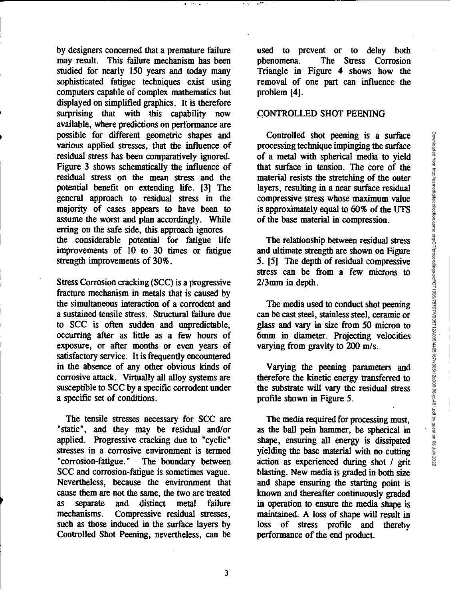by designers concerned that a premature failure may result. This failure mechanism has been studied for nearly 150 years and today many sophisticated fatigue techniques exist using computers capable of complex mathematics but displayed on simplified graphics. It is therefore surprising that with this capability now available, where predictions on performance are possible for different geometric shapes and various applied stresses, that the influence of residual stress has been comparatively ignored. Figure 3 shows schematically the influence of residual stress on the mean stress and the potential benefit on extending life. [3] The general approach to residual stress in the majority of cases appears to have been to assume the worst and plan accordingly. While erring on the safe side, this approach ignores the considerable potential for fatigue life improvements of 10 to 30 times or fatigue strength improvements of 30%.

Stress Corrosion cracking (SCC) is a progressive fracture mechanism in metals that is caused by the simultaneous interaction of a corrodent and a sustained tensile stress. Structural failure due to SCC is often sudden and unpredictable, occurring after as little as a few hours of exposure, or after months or even years of satisfactory service. It is frequently encountered in the absence of any other obvious kinds of corrosive attack. Virtually all alloy systems are susceptible to SCC by a specific corrodent under a specific set of conditions.

The tensile stresses necessary for SCC are "static", and they may be residual and/or applied. Progressive cracking due to "cyclic" stresses in a corrosive environment is termed "corrosion-fatigue." The boundary between SCC and corrosion-fatigue is sometimes vague. Nevertheless, because the environment that cause them are not the same, the two are treated as separate and distinct metal failure mechanisms. Compressive residual stresses, such as those induced in the surface layers by Controlled Shot Peening, nevertheless, can be

used to prevent or to delay both phenomena. The Stress Corrosion Triangle in Figure 4 shows how the removal of one part can influence the problem [4].

#### CONTROLLED SHOT PEENING

Controlled shot peening is a surface processing technique impinging the surface of a metal with spherical media to yield that surface in tension. The core of the material resists the stretching of the outer layers, resulting in a near surface residual compressive stress whose maximum value is approximately equal to 60% of the UTS of the base material in compression.

The relationship between residual stress and ultimate strength are shown on Figure 5. [5] The depth of residual compressive stress can be from a few microns to 2/3mm in depth.

The media used to conduct shot peening can be cast *steel,* stainless steel, ceramic or glass and vary in size from 50 micron to 6mm in diameter. Projecting velocities varying from gravity to 200 m/s.

Varying the peening parameters and therefore the kinetic energy transferred to the substrate will vary the residual stress profile shown in Figure 5.

The media required for processing must, as the ball pein hammer, be spherical in shape, ensuring all energy is dissipated yielding the base material with no cutting action as experienced during shot / grit blasting. New media is graded in both size and shape ensuring the starting point is known and thereafter continuously graded in operation to ensure the media shape is maintained. A loss of shape will result in loss of stress profile and thereby performance of the end product.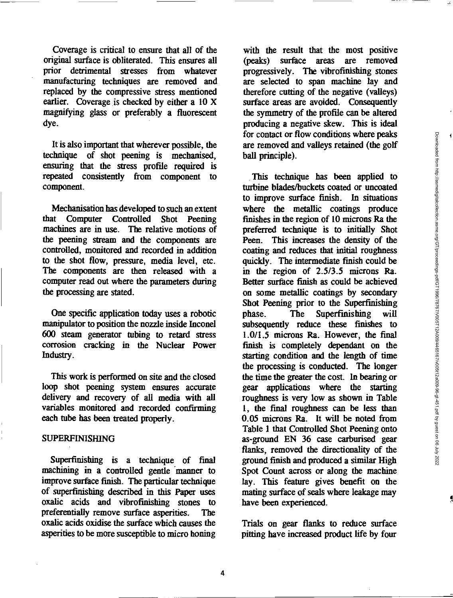Coverage is critical to ensure that all of the original surface is obliterated. This ensures all prior detrimental stresses from whatever manufacturing techniques are removed and replaced by the compressive stress mentioned earlier. Coverage is checked by either a 10 X magnifying glass or preferably a fluorescent dye.

It is also important that wherever possible, the technique of shot peening is mechanised, ensuring that the stress profile required is repeated consistently from component to component.

Mechanisation has developed to such an extent that Computer Controlled Shot Peening machines are in use. The relative motions of the peening stream and the components are controlled, monitored and recorded in addition to the shot flow, pressure, media level, etc. The components are then released with a computer read out where the parameters during the processing are stated.

One specific application today uses a robotic manipulator to position the nozzle inside Inconel 600 steam generator tubing to retard stress corrosion cracking in the Nuclear Power Industry.

This work is performed on site and the closed loop shot peening system ensures accurate delivery and recovery of all media with all variables monitored and recorded confirming each tube has been treated properly.

#### SUPERFINISHING

Superfinishing is a technique of final machining in a controlled gentle 'manner to improve surface finish. The particular technique of superfinishing described in this Paper uses oxalic acids and vibrofinishing stones to preferentially remove surface asperities. The oxalic acids oxidise the surface which causes the asperities to be more susceptible to micro honing

with the result that the most positive (peaks) surface areas are removed progressively. The vibrofmishing stones are selected to span machine lay and therefore cutting of the negative (valleys) surface areas are avoided. Consequently the symmetry of the profile can be altered producing a negative skew. This is ideal for contact or flow conditions where peaks are removed and valleys retained (the golf ball principle).

This technique has been applied to turbine blades/buckets coated or uncoated to improve surface finish. In situations where the metallic coatings produce finishes in the region of 10 microns Ra the preferred technique is to initially Shot Peen. This increases the density of the coating and reduces that initial roughness quickly. The intermediate finish could be in the region of 2.5/3.5 microns Ra. Better surface finish as could be achieved on some metallic coatings by secondary Shot Peening prior to the Superfinishing phase. The Superfinishing will subsequently *reduce* these finishes to 1.0/1.5 microns Ra. However, the final finish is completely dependant on the starting condition and the length of time the processing is conducted. The longer the time the greater the cost. In bearing or gear applications where the starting roughness is very low as shown in Table 1, the final roughness can be less than 0.05 microns Ra. It will be noted from Table 1 that Controlled Shot Peening onto as-ground EN 36 case carburised gear flanks, removed the directionality of the ground finish and produced a similar High Spot Count across or along the machine lay. This feature gives benefit on the mating surface of seals where leakage may have been experienced.

Trials on gear flanks to reduce surface pitting have increased product life by four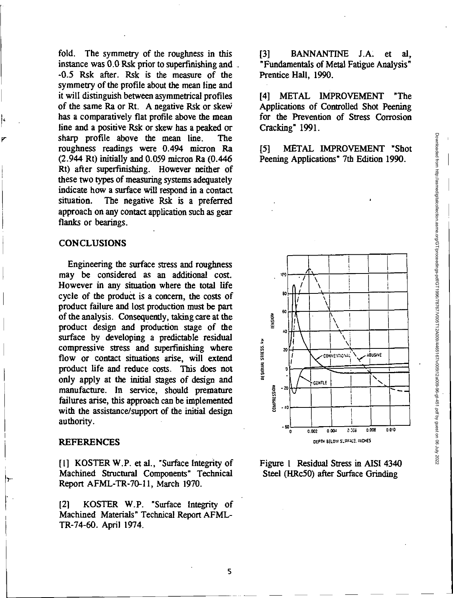fold. The symmetry of the roughness in this instance was 0.0 Rsk prior to superfinishing and -0.5 Rsk after. Rsk is the measure of the symmetry of the profile about the mean line and it will distinguish between asymmetrical profiles of the same Ra or Rt. A negative Rsk or skew has a comparatively flat profile above the mean line and a positive Rsk or skew has a peaked or sharp profile above the mean line. The roughness readings were 0.494 micron Ra  $(2.944 \text{ Rt})$  initially and 0.059 micron Ra  $(0.446 \text{ m})$ Rt) after superfmishing. However neither of these two types of measuring systems adequately indicate how a surface will respond in a contact situation. The negative Rsk is a preferred approach on any contact application such as gear flanks or bearings.

#### **CONCLUSIONS**

Engineering the surface stress and roughness may be considered as an additional cost. However in any situation where the total life cycle of the product is a concern, the costs of product failure and lost production must be part of the analysis. Consequently, taking care at the product design and production stage of the surface by developing a predictable residual compressive stress and superfinishing where flow or contact situations arise, will extend product life and reduce costs. This does not only apply at the initial stages of design and manufacture. In service, should premature failures arise, this approach can be implemented with the assistance/support of the initial design authority.

#### **REFERENCES**

[1] KOSTER W.P. et al., "Surface Integrity of Machined Structural Components" Technical Report AFML-TR-70-11, March 1970.

121 KOSTER W.P. "Surface Integrity of Machined Materials" Technical Report AFML-TR-74-60. April 1974.

[3] BANNANTINE J.A. et al, "Fundamentals of Metal Fatigue Analysis" Prentice Hall, 1990.

[4] METAL IMPROVEMENT "The Applications of Controlled Shot Peening for the Prevention of Stress Corrosion Cracking" 1991.

[5] METAL IMPROVEMENT "Shot Peening Applications" 7th Edition 1990.



Figure 1 Residual Stress in AISI 4340 Steel (HRc50) after Surface Grinding